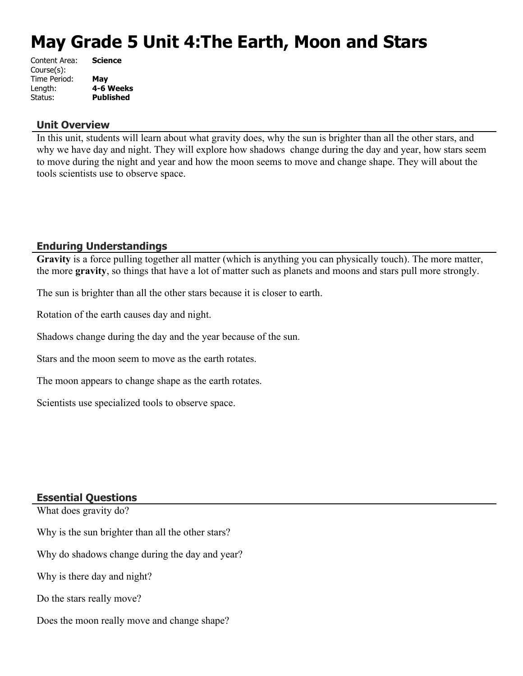# **May Grade 5 Unit 4:The Earth, Moon and Stars**

| Content Area: | <b>Science</b>   |
|---------------|------------------|
| Course(s):    |                  |
| Time Period:  | May              |
| Length:       | 4-6 Weeks        |
| Status:       | <b>Published</b> |
|               |                  |

#### **Unit Overview**

In this unit, students will learn about what gravity does, why the sun is brighter than all the other stars, and why we have day and night. They will explore how shadows change during the day and year, how stars seem to move during the night and year and how the moon seems to move and change shape. They will about the tools scientists use to observe space.

## **Enduring Understandings**

**Gravity** is a force pulling together all matter (which is anything you can physically touch). The more matter, the more **gravity**, so things that have a lot of matter such as planets and moons and stars pull more strongly.

The sun is brighter than all the other stars because it is closer to earth.

Rotation of the earth causes day and night.

Shadows change during the day and the year because of the sun.

Stars and the moon seem to move as the earth rotates.

The moon appears to change shape as the earth rotates.

Scientists use specialized tools to observe space.

## **Essential Questions**

What does gravity do?

Why is the sun brighter than all the other stars?

Why do shadows change during the day and year?

Why is there day and night?

Do the stars really move?

Does the moon really move and change shape?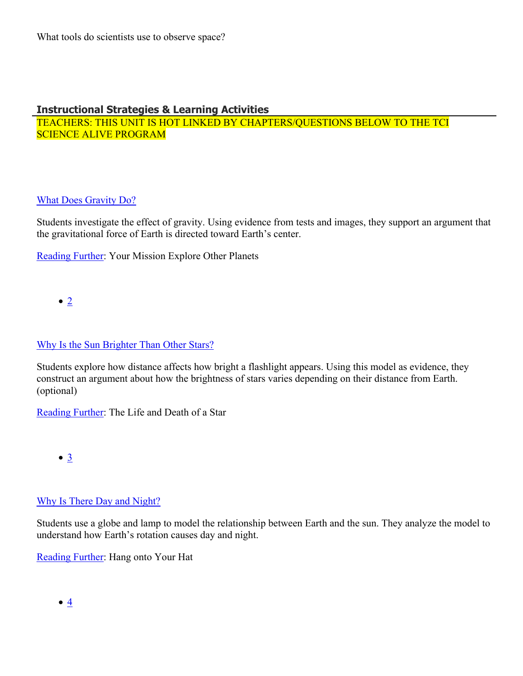# **Instructional Strategies & Learning Activities**

TEACHERS: THIS UNIT IS HOT LINKED BY CHAPTERS/QUESTIONS BELOW TO THE TCI SCIENCE ALIVE PROGRAM

# [What Does Gravity Do?](https://subscriptions.teachtci.com/shared/programs/156/lessons/1599/slide_shows)

Students investigate the effect of gravity. Using evidence from tests and images, they support an argument that the gravitational force of Earth is directed toward Earth's center.

[Reading Further](https://subscriptions.teachtci.com/shared/sections/11925?program_id=156&student_view=true): Your Mission Explore Other Planets

 $\bullet$  [2](https://subscriptions.teachtci.com/shared/programs/156/lessons/1600/slide_shows)

# [Why Is the Sun Brighter Than Other Stars?](https://subscriptions.teachtci.com/shared/programs/156/lessons/1600/slide_shows)

Students explore how distance affects how bright a flashlight appears. Using this model as evidence, they construct an argument about how the brightness of stars varies depending on their distance from Earth. (optional)

[Reading Further](https://subscriptions.teachtci.com/shared/sections/11953?program_id=156&student_view=true): The Life and Death of a Star

 $\bullet$   $\underline{3}$  $\underline{3}$  $\underline{3}$ 

# [Why Is There Day and Night?](https://subscriptions.teachtci.com/shared/programs/156/lessons/1601/slide_shows)

Students use a globe and lamp to model the relationship between Earth and the sun. They analyze the model to understand how Earth's rotation causes day and night.

[Reading Further](https://subscriptions.teachtci.com/shared/sections/11981?program_id=156&student_view=true): Hang onto Your Hat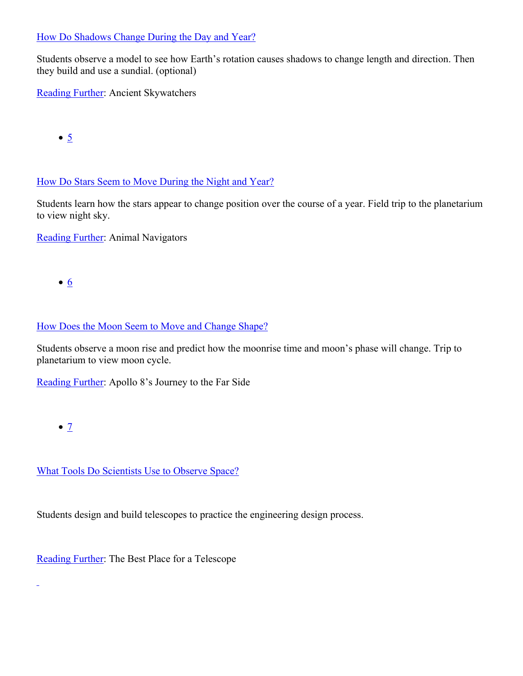## [How Do Shadows Change During the Day and Year?](https://subscriptions.teachtci.com/shared/programs/156/lessons/1602/slide_shows)

Students observe a model to see how Earth's rotation causes shadows to change length and direction. Then they build and use a sundial. (optional)

[Reading Further](https://subscriptions.teachtci.com/shared/sections/12002?program_id=156&student_view=true): Ancient Skywatchers

 $\bullet$  [5](https://subscriptions.teachtci.com/shared/programs/156/lessons/1603/slide_shows)

[How Do Stars Seem to Move During the Night and Year?](https://subscriptions.teachtci.com/shared/programs/156/lessons/1603/slide_shows)

Students learn how the stars appear to change position over the course of a year. Field trip to the planetarium to view night sky.

[Reading Further](https://subscriptions.teachtci.com/shared/sections/11966?program_id=156&student_view=true): Animal Navigators

 $\bullet$  [6](https://subscriptions.teachtci.com/shared/programs/156/lessons/1604/slide_shows)

# [How Does the Moon Seem to Move and Change Shape?](https://subscriptions.teachtci.com/shared/programs/156/lessons/1604/slide_shows)

Students observe a moon rise and predict how the moonrise time and moon's phase will change. Trip to planetarium to view moon cycle.

[Reading Further](https://subscriptions.teachtci.com/shared/sections/12017?program_id=156&student_view=true): Apollo 8's Journey to the Far Side

 $\bullet$  [7](https://subscriptions.teachtci.com/shared/programs/156/lessons/1605/slide_shows)

 $\overline{a}$ 

[What Tools Do Scientists Use to Observe Space?](https://subscriptions.teachtci.com/shared/programs/156/lessons/1605/slide_shows)

Students design and build telescopes to practice the engineering design process.

[Reading Further](https://subscriptions.teachtci.com/shared/sections/12027?program_id=156&student_view=true): The Best Place for a Telescope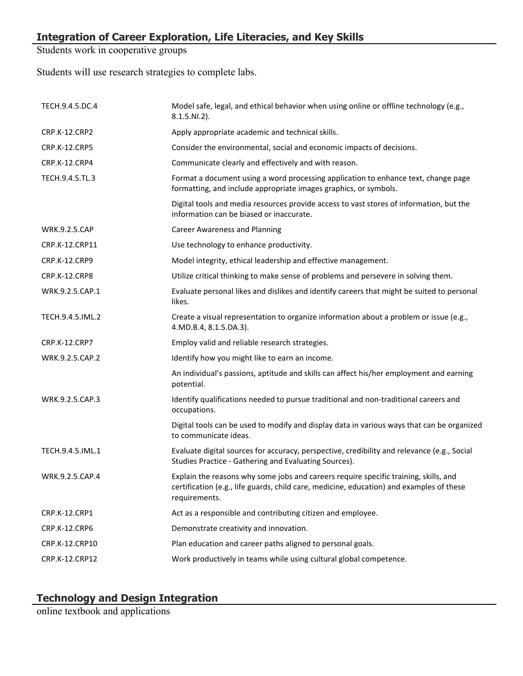Students work in cooperative groups

Students will use research strategies to complete labs.

| TECH.9.4.5.DC.4      | Model safe, legal, and ethical behavior when using online or offline technology (e.g.,<br>$8.1.5.NI.2$ ).                                                                                         |
|----------------------|---------------------------------------------------------------------------------------------------------------------------------------------------------------------------------------------------|
| CRP.K-12.CRP2        | Apply appropriate academic and technical skills.                                                                                                                                                  |
| <b>CRP.K-12.CRP5</b> | Consider the environmental, social and economic impacts of decisions.                                                                                                                             |
| CRP.K-12.CRP4        | Communicate clearly and effectively and with reason.                                                                                                                                              |
| TECH.9.4.5.TL.3      | Format a document using a word processing application to enhance text, change page<br>formatting, and include appropriate images graphics, or symbols.                                            |
|                      | Digital tools and media resources provide access to vast stores of information, but the<br>information can be biased or inaccurate.                                                               |
| <b>WRK.9.2.5.CAP</b> | <b>Career Awareness and Planning</b>                                                                                                                                                              |
| CRP.K-12.CRP11       | Use technology to enhance productivity.                                                                                                                                                           |
| CRP.K-12.CRP9        | Model integrity, ethical leadership and effective management.                                                                                                                                     |
| CRP.K-12.CRP8        | Utilize critical thinking to make sense of problems and persevere in solving them.                                                                                                                |
| WRK.9.2.5.CAP.1      | Evaluate personal likes and dislikes and identify careers that might be suited to personal<br>likes.                                                                                              |
| TECH.9.4.5.IML.2     | Create a visual representation to organize information about a problem or issue (e.g.,<br>4.MD.B.4, 8.1.5.DA.3).                                                                                  |
| CRP.K-12.CRP7        | Employ valid and reliable research strategies.                                                                                                                                                    |
| WRK.9.2.5.CAP.2      | Identify how you might like to earn an income.                                                                                                                                                    |
|                      | An individual's passions, aptitude and skills can affect his/her employment and earning<br>potential.                                                                                             |
| WRK.9.2.5.CAP.3      | Identify qualifications needed to pursue traditional and non-traditional careers and<br>occupations.                                                                                              |
|                      | Digital tools can be used to modify and display data in various ways that can be organized<br>to communicate ideas.                                                                               |
| TECH.9.4.5.IML.1     | Evaluate digital sources for accuracy, perspective, credibility and relevance (e.g., Social<br>Studies Practice - Gathering and Evaluating Sources).                                              |
| WRK.9.2.5.CAP.4      | Explain the reasons why some jobs and careers require specific training, skills, and<br>certification (e.g., life guards, child care, medicine, education) and examples of these<br>requirements. |
| CRP.K-12.CRP1        | Act as a responsible and contributing citizen and employee.                                                                                                                                       |
| CRP.K-12.CRP6        | Demonstrate creativity and innovation.                                                                                                                                                            |
| CRP.K-12.CRP10       | Plan education and career paths aligned to personal goals.                                                                                                                                        |
| CRP.K-12.CRP12       | Work productively in teams while using cultural global competence.                                                                                                                                |

# **Technology and Design Integration**

online textbook and applications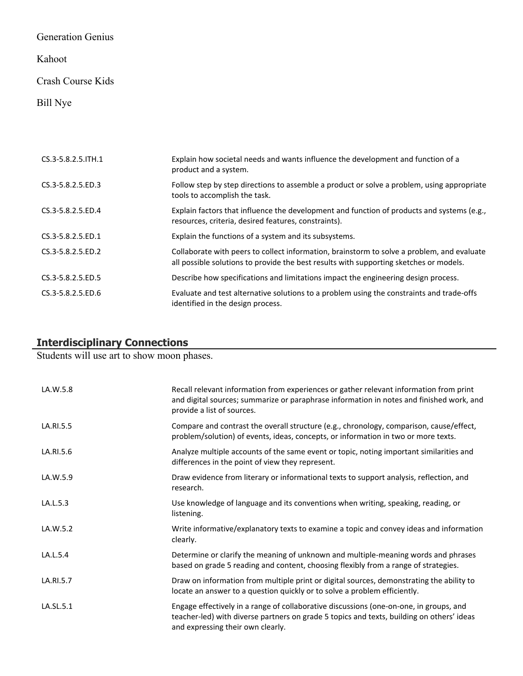# Generation Genius

# Kahoot

## Crash Course Kids

# Bill Nye

| CS.3-5.8.2.5. ITH.1 | Explain how societal needs and wants influence the development and function of a<br>product and a system.                                                                            |
|---------------------|--------------------------------------------------------------------------------------------------------------------------------------------------------------------------------------|
| CS.3-5.8.2.5.ED.3   | Follow step by step directions to assemble a product or solve a problem, using appropriate<br>tools to accomplish the task.                                                          |
| CS.3-5.8.2.5.ED.4   | Explain factors that influence the development and function of products and systems (e.g.,<br>resources, criteria, desired features, constraints).                                   |
| CS.3-5.8.2.5.ED.1   | Explain the functions of a system and its subsystems.                                                                                                                                |
| CS.3-5.8.2.5.ED.2   | Collaborate with peers to collect information, brainstorm to solve a problem, and evaluate<br>all possible solutions to provide the best results with supporting sketches or models. |
| CS.3-5.8.2.5.ED.5   | Describe how specifications and limitations impact the engineering design process.                                                                                                   |
| CS.3-5.8.2.5.ED.6   | Evaluate and test alternative solutions to a problem using the constraints and trade-offs<br>identified in the design process.                                                       |

## **Interdisciplinary Connections**

Students will use art to show moon phases.

| LA.W.5.8  | Recall relevant information from experiences or gather relevant information from print<br>and digital sources; summarize or paraphrase information in notes and finished work, and<br>provide a list of sources.         |
|-----------|--------------------------------------------------------------------------------------------------------------------------------------------------------------------------------------------------------------------------|
| LA.RI.5.5 | Compare and contrast the overall structure (e.g., chronology, comparison, cause/effect,<br>problem/solution) of events, ideas, concepts, or information in two or more texts.                                            |
| LA.RI.5.6 | Analyze multiple accounts of the same event or topic, noting important similarities and<br>differences in the point of view they represent.                                                                              |
| LA.W.5.9  | Draw evidence from literary or informational texts to support analysis, reflection, and<br>research.                                                                                                                     |
| LA.L.5.3  | Use knowledge of language and its conventions when writing, speaking, reading, or<br>listening.                                                                                                                          |
| LA.W.5.2  | Write informative/explanatory texts to examine a topic and convey ideas and information<br>clearly.                                                                                                                      |
| LA.L.5.4  | Determine or clarify the meaning of unknown and multiple-meaning words and phrases<br>based on grade 5 reading and content, choosing flexibly from a range of strategies.                                                |
| LA.RI.5.7 | Draw on information from multiple print or digital sources, demonstrating the ability to<br>locate an answer to a question quickly or to solve a problem efficiently.                                                    |
| LA.SL.5.1 | Engage effectively in a range of collaborative discussions (one-on-one, in groups, and<br>teacher-led) with diverse partners on grade 5 topics and texts, building on others' ideas<br>and expressing their own clearly. |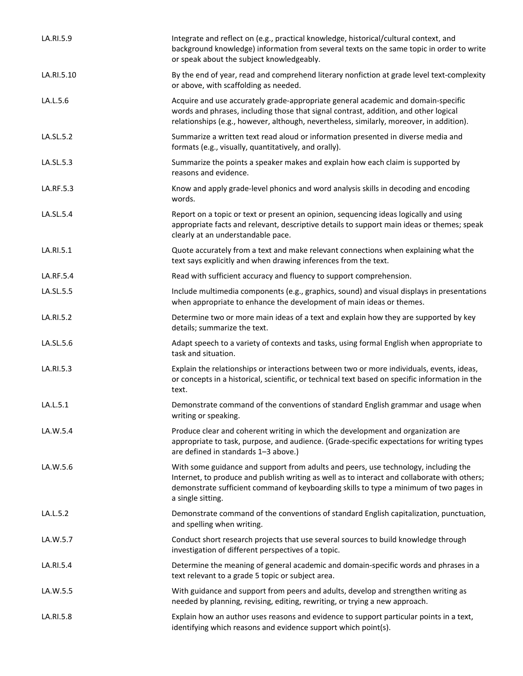| LA.RI.5.9  | Integrate and reflect on (e.g., practical knowledge, historical/cultural context, and<br>background knowledge) information from several texts on the same topic in order to write<br>or speak about the subject knowledgeably.                                                                     |
|------------|----------------------------------------------------------------------------------------------------------------------------------------------------------------------------------------------------------------------------------------------------------------------------------------------------|
| LA.RI.5.10 | By the end of year, read and comprehend literary nonfiction at grade level text-complexity<br>or above, with scaffolding as needed.                                                                                                                                                                |
| LA.L.5.6   | Acquire and use accurately grade-appropriate general academic and domain-specific<br>words and phrases, including those that signal contrast, addition, and other logical<br>relationships (e.g., however, although, nevertheless, similarly, moreover, in addition).                              |
| LA.SL.5.2  | Summarize a written text read aloud or information presented in diverse media and<br>formats (e.g., visually, quantitatively, and orally).                                                                                                                                                         |
| LA.SL.5.3  | Summarize the points a speaker makes and explain how each claim is supported by<br>reasons and evidence.                                                                                                                                                                                           |
| LA.RF.5.3  | Know and apply grade-level phonics and word analysis skills in decoding and encoding<br>words.                                                                                                                                                                                                     |
| LA.SL.5.4  | Report on a topic or text or present an opinion, sequencing ideas logically and using<br>appropriate facts and relevant, descriptive details to support main ideas or themes; speak<br>clearly at an understandable pace.                                                                          |
| LA.RI.5.1  | Quote accurately from a text and make relevant connections when explaining what the<br>text says explicitly and when drawing inferences from the text.                                                                                                                                             |
| LA.RF.5.4  | Read with sufficient accuracy and fluency to support comprehension.                                                                                                                                                                                                                                |
| LA.SL.5.5  | Include multimedia components (e.g., graphics, sound) and visual displays in presentations<br>when appropriate to enhance the development of main ideas or themes.                                                                                                                                 |
| LA.RI.5.2  | Determine two or more main ideas of a text and explain how they are supported by key<br>details; summarize the text.                                                                                                                                                                               |
| LA.SL.5.6  | Adapt speech to a variety of contexts and tasks, using formal English when appropriate to<br>task and situation.                                                                                                                                                                                   |
| LA.RI.5.3  | Explain the relationships or interactions between two or more individuals, events, ideas,<br>or concepts in a historical, scientific, or technical text based on specific information in the<br>text.                                                                                              |
| LA.L.5.1   | Demonstrate command of the conventions of standard English grammar and usage when<br>writing or speaking.                                                                                                                                                                                          |
| LA.W.5.4   | Produce clear and coherent writing in which the development and organization are<br>appropriate to task, purpose, and audience. (Grade-specific expectations for writing types<br>are defined in standards 1-3 above.)                                                                             |
| LA.W.5.6   | With some guidance and support from adults and peers, use technology, including the<br>Internet, to produce and publish writing as well as to interact and collaborate with others;<br>demonstrate sufficient command of keyboarding skills to type a minimum of two pages in<br>a single sitting. |
| LA.L.5.2   | Demonstrate command of the conventions of standard English capitalization, punctuation,<br>and spelling when writing.                                                                                                                                                                              |
| LA.W.5.7   | Conduct short research projects that use several sources to build knowledge through<br>investigation of different perspectives of a topic.                                                                                                                                                         |
| LA.RI.5.4  | Determine the meaning of general academic and domain-specific words and phrases in a<br>text relevant to a grade 5 topic or subject area.                                                                                                                                                          |
| LA.W.5.5   | With guidance and support from peers and adults, develop and strengthen writing as<br>needed by planning, revising, editing, rewriting, or trying a new approach.                                                                                                                                  |
| LA.RI.5.8  | Explain how an author uses reasons and evidence to support particular points in a text,<br>identifying which reasons and evidence support which point(s).                                                                                                                                          |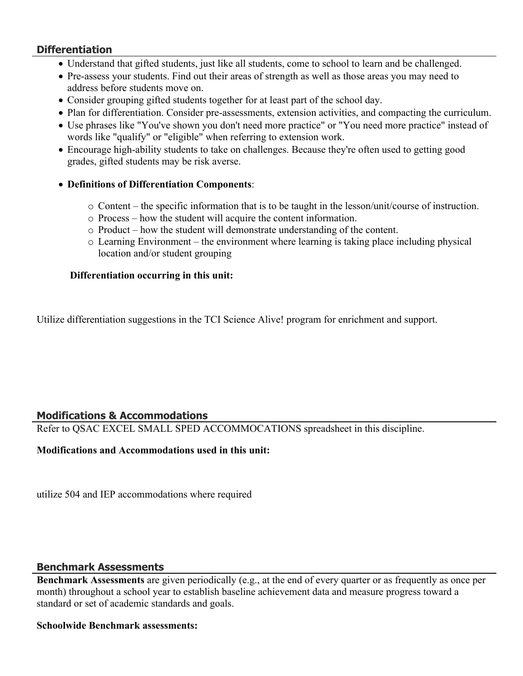## **Differentiation**

- Understand that gifted students, just like all students, come to school to learn and be challenged.
- Pre-assess your students. Find out their areas of strength as well as those areas you may need to address before students move on.
- Consider grouping gifted students together for at least part of the school day.
- Plan for differentiation. Consider pre-assessments, extension activities, and compacting the curriculum.
- Use phrases like "You've shown you don't need more practice" or "You need more practice" instead of words like "qualify" or "eligible" when referring to extension work.
- Encourage high-ability students to take on challenges. Because they're often used to getting good grades, gifted students may be risk averse.
- **Definitions of Differentiation Components**:
	- o Content the specific information that is to be taught in the lesson/unit/course of instruction.
	- o Process how the student will acquire the content information.
	- o Product how the student will demonstrate understanding of the content.
	- o Learning Environment the environment where learning is taking place including physical location and/or student grouping

## **Differentiation occurring in this unit:**

Utilize differentiation suggestions in the TCI Science Alive! program for enrichment and support.

# **Modifications & Accommodations**

Refer to QSAC EXCEL SMALL SPED ACCOMMOCATIONS spreadsheet in this discipline.

## **Modifications and Accommodations used in this unit:**

utilize 504 and IEP accommodations where required

## **Benchmark Assessments**

**Benchmark Assessments** are given periodically (e.g., at the end of every quarter or as frequently as once per month) throughout a school year to establish baseline achievement data and measure progress toward a standard or set of academic standards and goals.

## **Schoolwide Benchmark assessments:**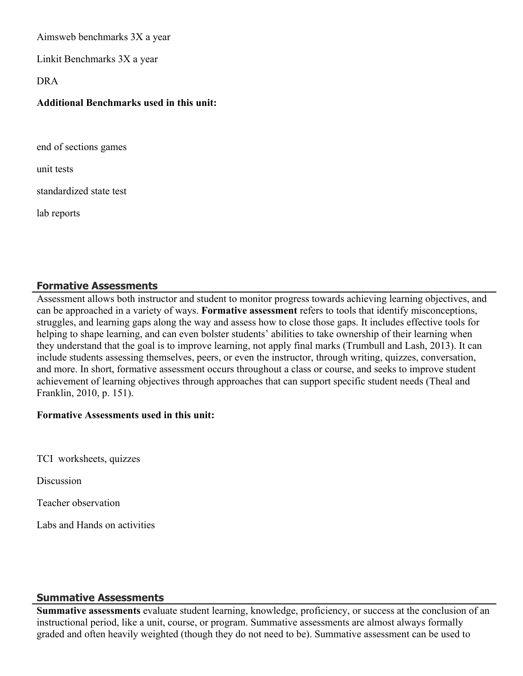Aimsweb benchmarks 3X a year

Linkit Benchmarks 3X a year

#### DRA

## **Additional Benchmarks used in this unit:**

end of sections games

unit tests

standardized state test

lab reports

# **Formative Assessments**

Assessment allows both instructor and student to monitor progress towards achieving learning objectives, and can be approached in a variety of ways. **Formative assessment** refers to tools that identify misconceptions, struggles, and learning gaps along the way and assess how to close those gaps. It includes effective tools for helping to shape learning, and can even bolster students' abilities to take ownership of their learning when they understand that the goal is to improve learning, not apply final marks (Trumbull and Lash, 2013). It can include students assessing themselves, peers, or even the instructor, through writing, quizzes, conversation, and more. In short, formative assessment occurs throughout a class or course, and seeks to improve student achievement of learning objectives through approaches that can support specific student needs (Theal and Franklin, 2010, p. 151).

## **Formative Assessments used in this unit:**

TCI worksheets, quizzes

**Discussion** 

Teacher observation

Labs and Hands on activities

## **Summative Assessments**

**Summative assessments** evaluate student learning, knowledge, proficiency, or success at the conclusion of an instructional period, like a unit, course, or program. Summative assessments are almost always formally graded and often heavily weighted (though they do not need to be). Summative assessment can be used to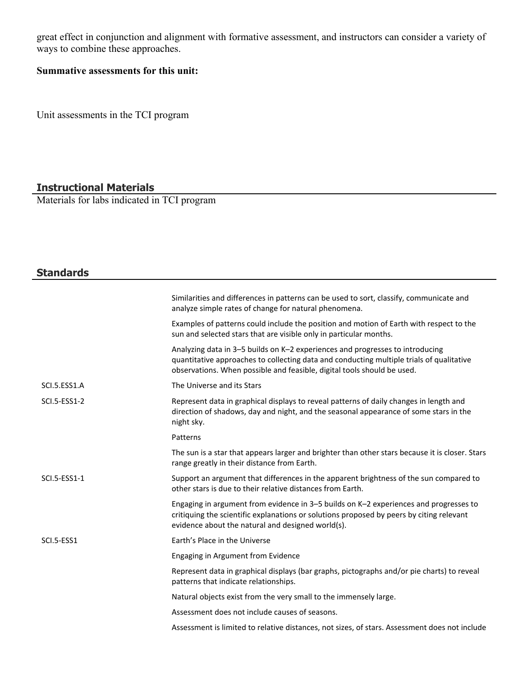great effect in conjunction and alignment with formative assessment, and instructors can consider a variety of ways to combine these approaches.

## **Summative assessments for this unit:**

Unit assessments in the TCI program

## **Instructional Materials**

Materials for labs indicated in TCI program

# **Standards**

|                     | Similarities and differences in patterns can be used to sort, classify, communicate and<br>analyze simple rates of change for natural phenomena.                                                                                                     |
|---------------------|------------------------------------------------------------------------------------------------------------------------------------------------------------------------------------------------------------------------------------------------------|
|                     | Examples of patterns could include the position and motion of Earth with respect to the<br>sun and selected stars that are visible only in particular months.                                                                                        |
|                     | Analyzing data in 3-5 builds on K-2 experiences and progresses to introducing<br>quantitative approaches to collecting data and conducting multiple trials of qualitative<br>observations. When possible and feasible, digital tools should be used. |
| SCI.5.ESS1.A        | The Universe and its Stars                                                                                                                                                                                                                           |
| <b>SCI.5-ESS1-2</b> | Represent data in graphical displays to reveal patterns of daily changes in length and<br>direction of shadows, day and night, and the seasonal appearance of some stars in the<br>night sky.                                                        |
|                     | Patterns                                                                                                                                                                                                                                             |
|                     | The sun is a star that appears larger and brighter than other stars because it is closer. Stars<br>range greatly in their distance from Earth.                                                                                                       |
| SCI.5-ESS1-1        | Support an argument that differences in the apparent brightness of the sun compared to<br>other stars is due to their relative distances from Earth.                                                                                                 |
|                     | Engaging in argument from evidence in 3-5 builds on K-2 experiences and progresses to<br>critiquing the scientific explanations or solutions proposed by peers by citing relevant<br>evidence about the natural and designed world(s).               |
| SCI.5-ESS1          | Earth's Place in the Universe                                                                                                                                                                                                                        |
|                     | Engaging in Argument from Evidence                                                                                                                                                                                                                   |
|                     | Represent data in graphical displays (bar graphs, pictographs and/or pie charts) to reveal<br>patterns that indicate relationships.                                                                                                                  |
|                     | Natural objects exist from the very small to the immensely large.                                                                                                                                                                                    |
|                     | Assessment does not include causes of seasons.                                                                                                                                                                                                       |
|                     | Assessment is limited to relative distances, not sizes, of stars. Assessment does not include                                                                                                                                                        |